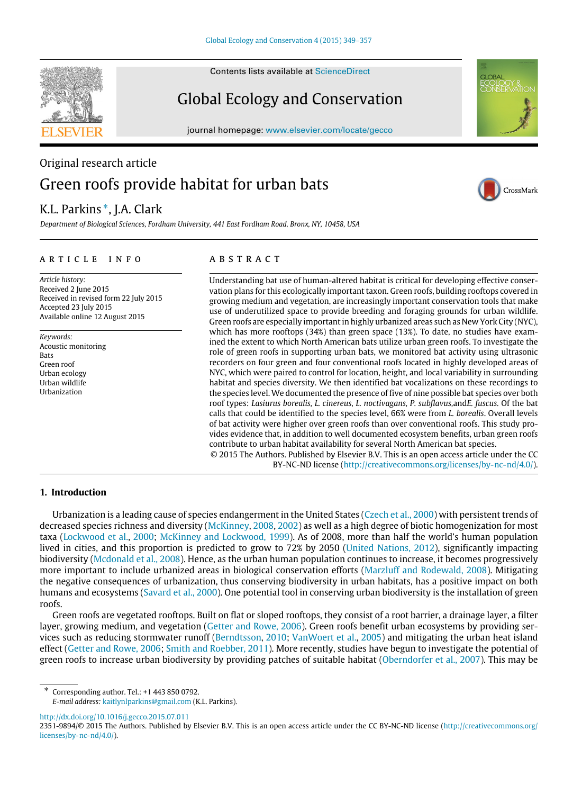Contents lists available at [ScienceDirect](http://www.elsevier.com/locate/gecco)

# Global Ecology and Conservation

journal homepage: [www.elsevier.com/locate/gecco](http://www.elsevier.com/locate/gecco)

# Original research article Green roofs provide habitat for urban bats

## K.L. Parkins [∗](#page-0-0) , J.A. Clark

*Department of Biological Sciences, Fordham University, 441 East Fordham Road, Bronx, NY, 10458, USA*

## a r t i c l e i n f o

*Article history:* Received 2 June 2015 Received in revised form 22 July 2015 Accepted 23 July 2015 Available online 12 August 2015

*Keywords:* Acoustic monitoring Bats Green roof Urban ecology Urban wildlife Urbanization

## a b s t r a c t

Understanding bat use of human-altered habitat is critical for developing effective conservation plans for this ecologically important taxon. Green roofs, building rooftops covered in growing medium and vegetation, are increasingly important conservation tools that make use of underutilized space to provide breeding and foraging grounds for urban wildlife. Green roofs are especially important in highly urbanized areas such as New York City (NYC), which has more rooftops (34%) than green space (13%). To date, no studies have examined the extent to which North American bats utilize urban green roofs. To investigate the role of green roofs in supporting urban bats, we monitored bat activity using ultrasonic recorders on four green and four conventional roofs located in highly developed areas of NYC, which were paired to control for location, height, and local variability in surrounding habitat and species diversity. We then identified bat vocalizations on these recordings to the species level. We documented the presence of five of nine possible bat species over both roof types: *Lasiurus borealis, L. cinereus, L. noctivagans, P. subflavus,*and*E. fuscus.* Of the bat calls that could be identified to the species level, 66% were from *L. borealis*. Overall levels of bat activity were higher over green roofs than over conventional roofs. This study provides evidence that, in addition to well documented ecosystem benefits, urban green roofs contribute to urban habitat availability for several North American bat species.

© 2015 The Authors. Published by Elsevier B.V. This is an open access article under the CC BY-NC-ND license [\(http://creativecommons.org/licenses/by-nc-nd/4.0/\)](http://creativecommons.org/licenses/by-nc-nd/4.0/).

## **1. Introduction**

Urbanization is a leading cause of species endangerment in the United States [\(Czech](#page-7-0) [et al.,](#page-7-0) [2000\)](#page-7-0) with persistent trends of decreased species richness and diversity [\(McKinney,](#page-7-1) [2008,](#page-7-1) [2002\)](#page-7-1) as well as a high degree of biotic homogenization for most taxa [\(Lockwood](#page-7-2) [et al.,](#page-7-2) [2000;](#page-7-2) [McKinney](#page-7-3) [and](#page-7-3) [Lockwood,](#page-7-3) [1999\)](#page-7-3). As of 2008, more than half the world's human population lived in cities, and this proportion is predicted to grow to 72% by 2050 [\(United](#page-7-4) [Nations,](#page-7-4) [2012\)](#page-7-4), significantly impacting biodiversity [\(Mcdonald](#page-7-5) [et al.,](#page-7-5) [2008\)](#page-7-5). Hence, as the urban human population continues to increase, it becomes progressively more important to include urbanized areas in biological conservation efforts [\(Marzluff](#page-7-6) [and](#page-7-6) [Rodewald,](#page-7-6) [2008\)](#page-7-6). Mitigating the negative consequences of urbanization, thus conserving biodiversity in urban habitats, has a positive impact on both humans and ecosystems [\(Savard](#page-7-7) [et al.,](#page-7-7) [2000\)](#page-7-7). One potential tool in conserving urban biodiversity is the installation of green roofs.

Green roofs are vegetated rooftops. Built on flat or sloped rooftops, they consist of a root barrier, a drainage layer, a filter layer, growing medium, and vegetation [\(Getter](#page-7-8) [and](#page-7-8) [Rowe,](#page-7-8) [2006\)](#page-7-8). Green roofs benefit urban ecosystems by providing services such as reducing stormwater runoff [\(Berndtsson,](#page-7-9) [2010;](#page-7-9) [VanWoert](#page-8-0) [et al.,](#page-8-0) [2005\)](#page-8-0) and mitigating the urban heat island effect [\(Getter](#page-7-8) [and](#page-7-8) [Rowe,](#page-7-8) [2006;](#page-7-8) [Smith](#page-7-10) [and](#page-7-10) [Roebber,](#page-7-10) [2011\)](#page-7-10). More recently, studies have begun to investigate the potential of green roofs to increase urban biodiversity by providing patches of suitable habitat [\(Oberndorfer](#page-7-11) [et al.,](#page-7-11) [2007\)](#page-7-11). This may be

<span id="page-0-0"></span>∗ Corresponding author. Tel.: +1 443 850 0792.

<http://dx.doi.org/10.1016/j.gecco.2015.07.011>







*E-mail address:* [kaitlynlparkins@gmail.com](mailto:kaitlynlparkins@gmail.com) (K.L. Parkins).

<sup>2351-9894/</sup>© 2015 The Authors. Published by Elsevier B.V. This is an open access article under the CC BY-NC-ND license [\(http://creativecommons.org/](http://creativecommons.org/licenses/by-nc-nd/4.0/) [licenses/by-nc-nd/4.0/\)](http://creativecommons.org/licenses/by-nc-nd/4.0/).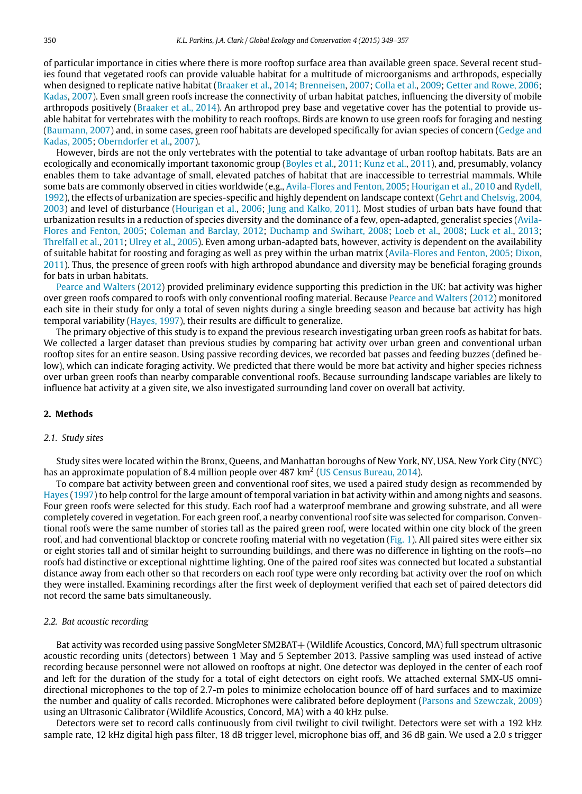of particular importance in cities where there is more rooftop surface area than available green space. Several recent studies found that vegetated roofs can provide valuable habitat for a multitude of microorganisms and arthropods, especially when designed to replicate native habitat [\(Braaker](#page-7-12) [et al.,](#page-7-12) [2014;](#page-7-12) [Brenneisen,](#page-7-13) [2007;](#page-7-13) [Colla](#page-7-14) [et al.,](#page-7-14) [2009;](#page-7-14) [Getter](#page-7-8) [and](#page-7-8) [Rowe,](#page-7-8) [2006;](#page-7-8) [Kadas,](#page-7-15) [2007\)](#page-7-15). Even small green roofs increase the connectivity of urban habitat patches, influencing the diversity of mobile arthropods positively [\(Braaker](#page-7-12) [et al.,](#page-7-12) [2014\)](#page-7-12). An arthropod prey base and vegetative cover has the potential to provide usable habitat for vertebrates with the mobility to reach rooftops. Birds are known to use green roofs for foraging and nesting [\(Baumann,](#page-7-16) [2007\)](#page-7-16) and, in some cases, green roof habitats are developed specifically for avian species of concern [\(Gedge](#page-7-17) [and](#page-7-17) [Kadas,](#page-7-17) [2005;](#page-7-17) [Oberndorfer](#page-7-11) [et al.,](#page-7-11) [2007\)](#page-7-11).

However, birds are not the only vertebrates with the potential to take advantage of urban rooftop habitats. Bats are an ecologically and economically important taxonomic group [\(Boyles](#page-7-18) [et al.,](#page-7-18) [2011;](#page-7-18) [Kunz](#page-7-19) [et al.,](#page-7-19) [2011\)](#page-7-19), and, presumably, volancy enables them to take advantage of small, elevated patches of habitat that are inaccessible to terrestrial mammals. While some bats are commonly observed in cities worldwide (e.g., [Avila-Flores](#page-7-20) [and](#page-7-20) [Fenton,](#page-7-20) [2005;](#page-7-20) [Hourigan](#page-7-21) [et al.,](#page-7-21) [2010](#page-7-21) and [Rydell,](#page-7-22) [1992\)](#page-7-22), the effects of urbanization are species-specific and highly dependent on landscape context [\(Gehrt](#page-7-23) [and](#page-7-23) [Chelsvig,](#page-7-23) [2004,](#page-7-23) [2003\)](#page-7-24) and level of disturbance [\(Hourigan](#page-7-25) [et al.,](#page-7-25) [2006;](#page-7-25) [Jung](#page-7-26) [and](#page-7-26) [Kalko,](#page-7-26) [2011\)](#page-7-26). Most studies of urban bats have found that [u](#page-7-20)rbanization results in a reduction of species diversity and the dominance of a few, open-adapted, generalist species [\(Avila-](#page-7-20)[Flores](#page-7-20) [and](#page-7-20) [Fenton,](#page-7-20) [2005;](#page-7-20) [Coleman](#page-7-27) [and](#page-7-27) [Barclay,](#page-7-27) [2012;](#page-7-27) [Duchamp](#page-7-28) [and](#page-7-28) [Swihart,](#page-7-28) [2008;](#page-7-28) [Loeb](#page-7-29) [et al.,](#page-7-29) [2008;](#page-7-29) [Luck](#page-7-30) [et al.,](#page-7-30) [2013;](#page-7-30) [Threlfall](#page-7-31) [et al.,](#page-7-31) [2011;](#page-7-31) [Ulrey](#page-7-32) [et al.,](#page-7-32) [2005\)](#page-7-32). Even among urban-adapted bats, however, activity is dependent on the availability of suitable habitat for roosting and foraging as well as prey within the urban matrix [\(Avila-Flores](#page-7-20) [and](#page-7-20) [Fenton,](#page-7-20) [2005;](#page-7-20) [Dixon,](#page-7-33) [2011\)](#page-7-33). Thus, the presence of green roofs with high arthropod abundance and diversity may be beneficial foraging grounds for bats in urban habitats.

[Pearce](#page-7-34) [and](#page-7-34) [Walters](#page-7-34) [\(2012\)](#page-7-34) provided preliminary evidence supporting this prediction in the UK: bat activity was higher over green roofs compared to roofs with only conventional roofing material. Because [Pearce](#page-7-34) [and](#page-7-34) [Walters](#page-7-34) [\(2012\)](#page-7-34) monitored each site in their study for only a total of seven nights during a single breeding season and because bat activity has high temporal variability [\(Hayes,](#page-7-35) [1997\)](#page-7-35), their results are difficult to generalize.

The primary objective of this study is to expand the previous research investigating urban green roofs as habitat for bats. We collected a larger dataset than previous studies by comparing bat activity over urban green and conventional urban rooftop sites for an entire season. Using passive recording devices, we recorded bat passes and feeding buzzes (defined below), which can indicate foraging activity. We predicted that there would be more bat activity and higher species richness over urban green roofs than nearby comparable conventional roofs. Because surrounding landscape variables are likely to influence bat activity at a given site, we also investigated surrounding land cover on overall bat activity.

## **2. Methods**

#### *2.1. Study sites*

Study sites were located within the Bronx, Queens, and Manhattan boroughs of New York, NY, USA. New York City (NYC) has an approximate population of 8.4 million people over 487 km<sup>2</sup> [\(US](#page-8-1) [Census](#page-8-1) [Bureau,](#page-8-1) [2014\)](#page-8-1).

To compare bat activity between green and conventional roof sites, we used a paired study design as recommended by [Hayes](#page-7-35) [\(1997\)](#page-7-35) to help control for the large amount of temporal variation in bat activity within and among nights and seasons. Four green roofs were selected for this study. Each roof had a waterproof membrane and growing substrate, and all were completely covered in vegetation. For each green roof, a nearby conventional roof site was selected for comparison. Conventional roofs were the same number of stories tall as the paired green roof, were located within one city block of the green roof, and had conventional blacktop or concrete roofing material with no vegetation [\(Fig. 1\)](#page-2-0). All paired sites were either six or eight stories tall and of similar height to surrounding buildings, and there was no difference in lighting on the roofs—no roofs had distinctive or exceptional nighttime lighting. One of the paired roof sites was connected but located a substantial distance away from each other so that recorders on each roof type were only recording bat activity over the roof on which they were installed. Examining recordings after the first week of deployment verified that each set of paired detectors did not record the same bats simultaneously.

#### *2.2. Bat acoustic recording*

Bat activity was recorded using passive SongMeter SM2BAT+ (Wildlife Acoustics, Concord, MA) full spectrum ultrasonic acoustic recording units (detectors) between 1 May and 5 September 2013. Passive sampling was used instead of active recording because personnel were not allowed on rooftops at night. One detector was deployed in the center of each roof and left for the duration of the study for a total of eight detectors on eight roofs. We attached external SMX-US omnidirectional microphones to the top of 2.7-m poles to minimize echolocation bounce off of hard surfaces and to maximize the number and quality of calls recorded. Microphones were calibrated before deployment [\(Parsons](#page-7-36) [and](#page-7-36) [Szewczak,](#page-7-36) [2009\)](#page-7-36) using an Ultrasonic Calibrator (Wildlife Acoustics, Concord, MA) with a 40 kHz pulse.

Detectors were set to record calls continuously from civil twilight to civil twilight. Detectors were set with a 192 kHz sample rate, 12 kHz digital high pass filter, 18 dB trigger level, microphone bias off, and 36 dB gain. We used a 2.0 s trigger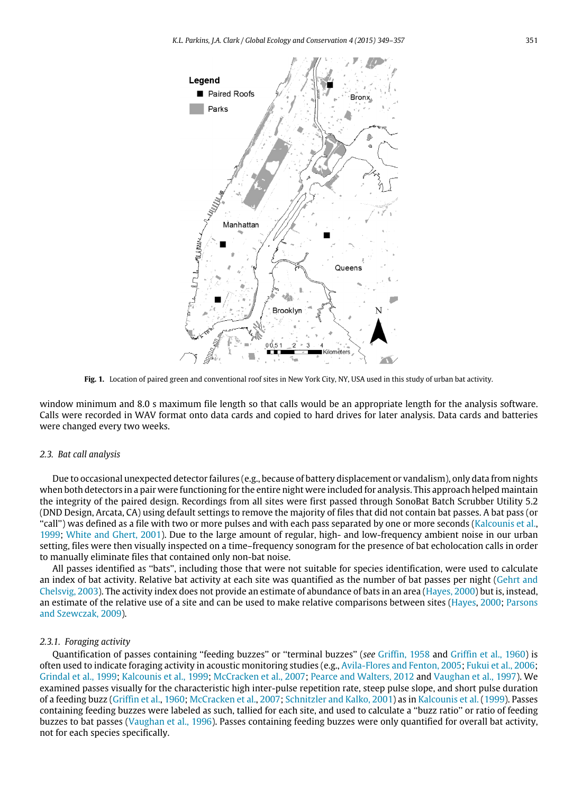<span id="page-2-0"></span>

**Fig. 1.** Location of paired green and conventional roof sites in New York City, NY, USA used in this study of urban bat activity.

window minimum and 8.0 s maximum file length so that calls would be an appropriate length for the analysis software. Calls were recorded in WAV format onto data cards and copied to hard drives for later analysis. Data cards and batteries were changed every two weeks.

#### *2.3. Bat call analysis*

Due to occasional unexpected detector failures (e.g., because of battery displacement or vandalism), only data from nights when both detectors in a pair were functioning for the entire night were included for analysis. This approach helped maintain the integrity of the paired design. Recordings from all sites were first passed through SonoBat Batch Scrubber Utility 5.2 (DND Design, Arcata, CA) using default settings to remove the majority of files that did not contain bat passes. A bat pass (or ''call'') was defined as a file with two or more pulses and with each pass separated by one or more seconds [\(Kalcounis](#page-7-37) [et al.,](#page-7-37) [1999;](#page-7-37) [White](#page-8-2) [and](#page-8-2) [Ghert,](#page-8-2) [2001\)](#page-8-2). Due to the large amount of regular, high- and low-frequency ambient noise in our urban setting, files were then visually inspected on a time–frequency sonogram for the presence of bat echolocation calls in order to manually eliminate files that contained only non-bat noise.

All passes identified as ''bats'', including those that were not suitable for species identification, were used to calculate an index of bat activity. Relative bat activity at each site was quantified as the number of bat passes per night [\(Gehrt](#page-7-24) [and](#page-7-24) [Chelsvig,](#page-7-24) [2003\)](#page-7-24). The activity index does not provide an estimate of abundance of bats in an area [\(Hayes,](#page-7-38) [2000\)](#page-7-38) but is, instead, an estimate of the relative use of a site and can be used to make relative comparisons between sites [\(Hayes,](#page-7-38) [2000;](#page-7-38) [Parsons](#page-7-36) [and](#page-7-36) [Szewczak,](#page-7-36) [2009\)](#page-7-36).

#### *2.3.1. Foraging activity*

Quantification of passes containing ''feeding buzzes'' or ''terminal buzzes'' (*see* [Griffin,](#page-7-39) [1958](#page-7-39) and [Griffin](#page-7-40) [et al.,](#page-7-40) [1960\)](#page-7-40) is often used to indicate foraging activity in acoustic monitoring studies (e.g., [Avila-Flores](#page-7-20) [and](#page-7-20) [Fenton,](#page-7-20) [2005;](#page-7-20) [Fukui](#page-7-41) [et al.,](#page-7-41) [2006;](#page-7-41) [Grindal](#page-7-42) [et al.,](#page-7-42) [1999;](#page-7-42) [Kalcounis](#page-7-37) [et al.,](#page-7-37) [1999;](#page-7-37) [McCracken](#page-7-43) [et al.,](#page-7-43) [2007;](#page-7-43) [Pearce](#page-7-34) [and](#page-7-34) [Walters,](#page-7-34) [2012](#page-7-34) and [Vaughan](#page-8-3) [et al.,](#page-8-3) [1997\)](#page-8-3). We examined passes visually for the characteristic high inter-pulse repetition rate, steep pulse slope, and short pulse duration of a feeding buzz [\(Griffin](#page-7-40) [et al.,](#page-7-40) [1960;](#page-7-40) [McCracken](#page-7-43) [et al.,](#page-7-43) [2007;](#page-7-43) [Schnitzler](#page-7-44) [and](#page-7-44) [Kalko,](#page-7-44) [2001\)](#page-7-44) as in [Kalcounis](#page-7-37) [et al.](#page-7-37) [\(1999\)](#page-7-37). Passes containing feeding buzzes were labeled as such, tallied for each site, and used to calculate a ''buzz ratio'' or ratio of feeding buzzes to bat passes [\(Vaughan](#page-8-4) [et al.,](#page-8-4) [1996\)](#page-8-4). Passes containing feeding buzzes were only quantified for overall bat activity, not for each species specifically.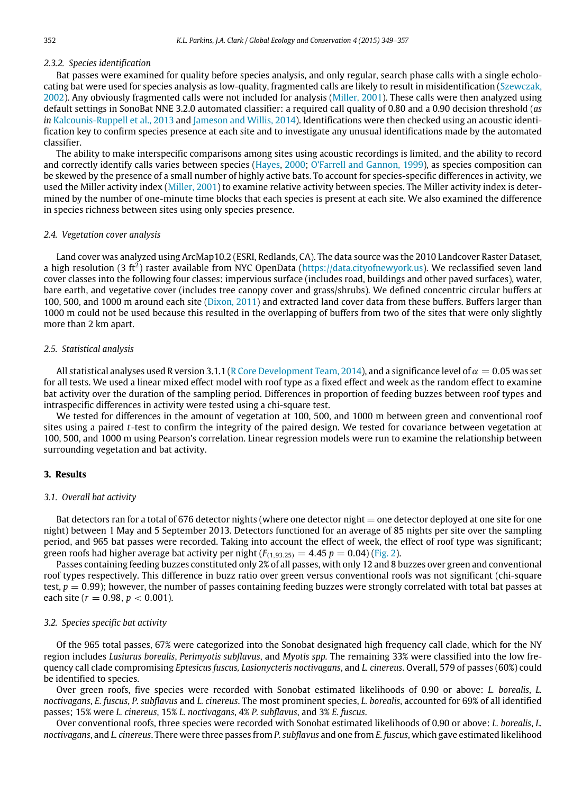## *2.3.2. Species identification*

Bat passes were examined for quality before species analysis, and only regular, search phase calls with a single echolocating bat were used for species analysis as low-quality, fragmented calls are likely to result in misidentification [\(Szewczak,](#page-7-45) [2002\)](#page-7-45). Any obviously fragmented calls were not included for analysis [\(Miller,](#page-7-46) [2001\)](#page-7-46). These calls were then analyzed using default settings in SonoBat NNE 3.2.0 automated classifier: a required call quality of 0.80 and a 0.90 decision threshold (*as* in [Kalcounis-Ruppell](#page-7-47) [et al.,](#page-7-47) [2013](#page-7-47) and [Jameson](#page-7-48) [and](#page-7-48) [Willis,](#page-7-48) [2014\)](#page-7-48). Identifications were then checked using an acoustic identification key to confirm species presence at each site and to investigate any unusual identifications made by the automated classifier.

The ability to make interspecific comparisons among sites using acoustic recordings is limited, and the ability to record and correctly identify calls varies between species [\(Hayes,](#page-7-38) [2000;](#page-7-38) [O'Farrell](#page-7-49) [and](#page-7-49) [Gannon,](#page-7-49) [1999\)](#page-7-49), as species composition can be skewed by the presence of a small number of highly active bats. To account for species-specific differences in activity, we used the Miller activity index [\(Miller,](#page-7-46) [2001\)](#page-7-46) to examine relative activity between species. The Miller activity index is determined by the number of one-minute time blocks that each species is present at each site. We also examined the difference in species richness between sites using only species presence.

#### *2.4. Vegetation cover analysis*

Land cover was analyzed using ArcMap10.2 (ESRI, Redlands, CA). The data source was the 2010 Landcover Raster Dataset, a high resolution (3 ft<sup>2</sup>) raster available from NYC OpenData [\(https://data.cityofnewyork.us\)](https://data.cityofnewyork.us). We reclassified seven land cover classes into the following four classes: impervious surface (includes road, buildings and other paved surfaces), water, bare earth, and vegetative cover (includes tree canopy cover and grass/shrubs). We defined concentric circular buffers at 100, 500, and 1000 m around each site [\(Dixon,](#page-7-33) [2011\)](#page-7-33) and extracted land cover data from these buffers. Buffers larger than 1000 m could not be used because this resulted in the overlapping of buffers from two of the sites that were only slightly more than 2 km apart.

#### *2.5. Statistical analysis*

All statistical analyses used R version 3.1.1 [\(R](#page-7-50) [Core](#page-7-50) [Development](#page-7-50) [Team,](#page-7-50) [2014\)](#page-7-50), and a significance level of  $\alpha = 0.05$  was set for all tests. We used a linear mixed effect model with roof type as a fixed effect and week as the random effect to examine bat activity over the duration of the sampling period. Differences in proportion of feeding buzzes between roof types and intraspecific differences in activity were tested using a chi-square test.

We tested for differences in the amount of vegetation at 100, 500, and 1000 m between green and conventional roof sites using a paired *t*-test to confirm the integrity of the paired design. We tested for covariance between vegetation at 100, 500, and 1000 m using Pearson's correlation. Linear regression models were run to examine the relationship between surrounding vegetation and bat activity.

#### **3. Results**

#### *3.1. Overall bat activity*

Bat detectors ran for a total of 676 detector nights (where one detector night = one detector deployed at one site for one night) between 1 May and 5 September 2013. Detectors functioned for an average of 85 nights per site over the sampling period, and 965 bat passes were recorded. Taking into account the effect of week, the effect of roof type was significant; green roofs had higher average bat activity per night  $(F_{(1,93.25)} = 4.45 \ p = 0.04)$  [\(Fig. 2\)](#page-4-0).

Passes containing feeding buzzes constituted only 2% of all passes, with only 12 and 8 buzzes over green and conventional roof types respectively. This difference in buzz ratio over green versus conventional roofs was not significant (chi-square test,  $p = 0.99$ ); however, the number of passes containing feeding buzzes were strongly correlated with total bat passes at each site ( $r = 0.98$ ,  $p < 0.001$ ).

### *3.2. Species specific bat activity*

Of the 965 total passes, 67% were categorized into the Sonobat designated high frequency call clade, which for the NY region includes *Lasiurus borealis*, *Perimyotis subflavus*, and *Myotis spp.* The remaining 33% were classified into the low frequency call clade compromising *Eptesicus fuscus, Lasionycteris noctivagans*, and *L. cinereus*. Overall, 579 of passes (60%) could be identified to species.

Over green roofs, five species were recorded with Sonobat estimated likelihoods of 0.90 or above: *L. borealis*, *L. noctivagans*, *E. fuscus*, *P. subflavus* and *L. cinereus*. The most prominent species, *L. borealis*, accounted for 69% of all identified passes; 15% were *L. cinereus*, 15% *L. noctivagans*, 4% *P. subflavus*, and 3% *E. fuscus*.

Over conventional roofs, three species were recorded with Sonobat estimated likelihoods of 0.90 or above: *L. borealis*, *L. noctivagans*, and *L. cinereus*. There were three passes from *P. subflavus* and one from *E. fuscus*, which gave estimated likelihood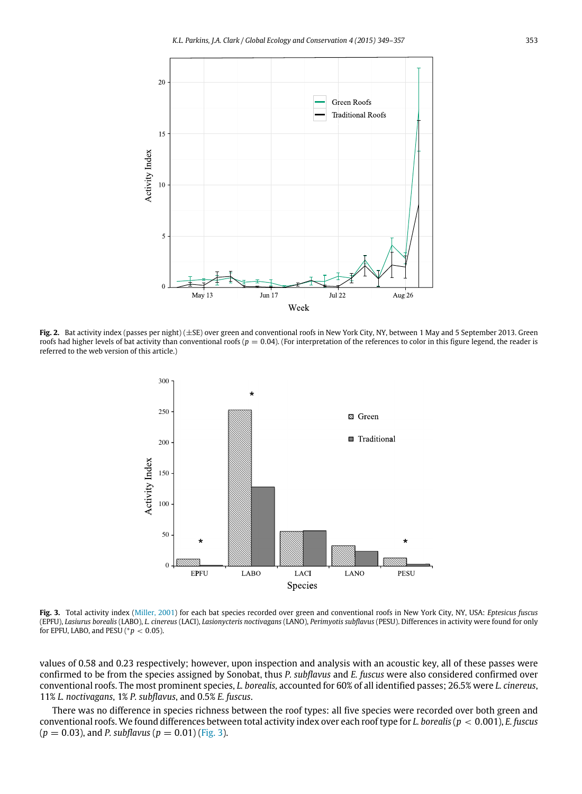<span id="page-4-0"></span>

<span id="page-4-1"></span>Fig. 2. Bat activity index (passes per night) ( $\pm$ SE) over green and conventional roofs in New York City, NY, between 1 May and 5 September 2013. Green roofs had higher levels of bat activity than conventional roofs ( $p = 0.04$ ). (For interpretation of the references to color in this figure legend, the reader is referred to the web version of this article.)



**Fig. 3.** Total activity index [\(Miller,](#page-7-46) [2001\)](#page-7-46) for each bat species recorded over green and conventional roofs in New York City, NY, USA: *Eptesicus fuscus* (EPFU), *Lasiurus borealis* (LABO), *L. cinereus* (LACI), *Lasionycteris noctivagans* (LANO), *Perimyotis subflavus* (PESU). Differences in activity were found for only for EPFU, LABO, and PESU ( $p < 0.05$ ).

values of 0.58 and 0.23 respectively; however, upon inspection and analysis with an acoustic key, all of these passes were confirmed to be from the species assigned by Sonobat, thus *P. subflavus* and *E. fuscus* were also considered confirmed over conventional roofs. The most prominent species, *L. borealis,* accounted for 60% of all identified passes; 26.5% were *L. cinereus*, 11% *L. noctivagans*, 1% *P. subflavus*, and 0.5% *E. fuscus*.

There was no difference in species richness between the roof types: all five species were recorded over both green and conventional roofs. We found differences between total activity index over each roof type for *L. borealis* (*p* < 0.001), *E. fuscus*  $(p = 0.03)$ , and *P. subflavus*  $(p = 0.01)$  [\(Fig. 3\)](#page-4-1).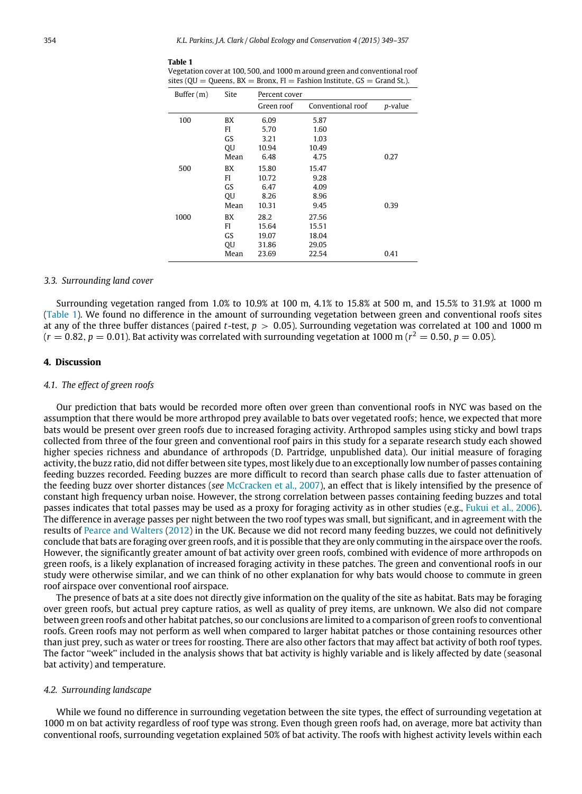Vegetation cover at 100, 500, and 1000 m around green and conventional roof

<span id="page-5-0"></span>**Table 1**

| sites ( $QU = Queens$ , $BX = Bronx$ , $FI = Fashion Institute$ , $GS = Grand St$ .). |      |               |                   |         |
|---------------------------------------------------------------------------------------|------|---------------|-------------------|---------|
| Buffer $(m)$                                                                          | Site | Percent cover |                   |         |
|                                                                                       |      | Green roof    | Conventional roof | p-value |
| 100                                                                                   | BX   | 6.09          | 5.87              |         |
|                                                                                       | FI   | 5.70          | 1.60              |         |
|                                                                                       | GS   | 3.21          | 1.03              |         |
|                                                                                       | QU   | 10.94         | 10.49             |         |
|                                                                                       | Mean | 6.48          | 4.75              | 0.27    |
| 500                                                                                   | BX   | 15.80         | 15.47             |         |
|                                                                                       | FI   | 10.72         | 9.28              |         |
|                                                                                       | GS   | 6.47          | 4.09              |         |
|                                                                                       | QU   | 8.26          | 8.96              |         |
|                                                                                       | Mean | 10.31         | 9.45              | 0.39    |
| 1000                                                                                  | BX   | 28.2          | 27.56             |         |
|                                                                                       | FI   | 15.64         | 15.51             |         |
|                                                                                       | GS   | 19.07         | 18.04             |         |
|                                                                                       | QU   | 31.86         | 29.05             |         |
|                                                                                       | Mean | 23.69         | 22.54             | 0.41    |

## *3.3. Surrounding land cover*

Surrounding vegetation ranged from 1.0% to 10.9% at 100 m, 4.1% to 15.8% at 500 m, and 15.5% to 31.9% at 1000 m [\(Table 1\)](#page-5-0). We found no difference in the amount of surrounding vegetation between green and conventional roofs sites at any of the three buffer distances (paired *t*-test, *p* > 0.05). Surrounding vegetation was correlated at 100 and 1000 m  $(r = 0.82, p = 0.01)$ . Bat activity was correlated with surrounding vegetation at 1000 m ( $r^2 = 0.50, p = 0.05$ ).

#### **4. Discussion**

## *4.1. The effect of green roofs*

Our prediction that bats would be recorded more often over green than conventional roofs in NYC was based on the assumption that there would be more arthropod prey available to bats over vegetated roofs; hence, we expected that more bats would be present over green roofs due to increased foraging activity. Arthropod samples using sticky and bowl traps collected from three of the four green and conventional roof pairs in this study for a separate research study each showed higher species richness and abundance of arthropods (D. Partridge, unpublished data). Our initial measure of foraging activity, the buzz ratio, did not differ between site types, most likely due to an exceptionally low number of passes containing feeding buzzes recorded. Feeding buzzes are more difficult to record than search phase calls due to faster attenuation of the feeding buzz over shorter distances (*see* [McCracken](#page-7-43) [et al.,](#page-7-43) [2007\)](#page-7-43), an effect that is likely intensified by the presence of constant high frequency urban noise. However, the strong correlation between passes containing feeding buzzes and total passes indicates that total passes may be used as a proxy for foraging activity as in other studies (e.g., [Fukui](#page-7-41) [et al.,](#page-7-41) [2006\)](#page-7-41). The difference in average passes per night between the two roof types was small, but significant, and in agreement with the results of [Pearce](#page-7-34) [and](#page-7-34) [Walters](#page-7-34) [\(2012\)](#page-7-34) in the UK. Because we did not record many feeding buzzes, we could not definitively conclude that bats are foraging over green roofs, and it is possible that they are only commuting in the airspace over the roofs. However, the significantly greater amount of bat activity over green roofs, combined with evidence of more arthropods on green roofs, is a likely explanation of increased foraging activity in these patches. The green and conventional roofs in our study were otherwise similar, and we can think of no other explanation for why bats would choose to commute in green roof airspace over conventional roof airspace.

The presence of bats at a site does not directly give information on the quality of the site as habitat. Bats may be foraging over green roofs, but actual prey capture ratios, as well as quality of prey items, are unknown. We also did not compare between green roofs and other habitat patches, so our conclusions are limited to a comparison of green roofs to conventional roofs. Green roofs may not perform as well when compared to larger habitat patches or those containing resources other than just prey, such as water or trees for roosting. There are also other factors that may affect bat activity of both roof types. The factor ''week'' included in the analysis shows that bat activity is highly variable and is likely affected by date (seasonal bat activity) and temperature.

#### *4.2. Surrounding landscape*

While we found no difference in surrounding vegetation between the site types, the effect of surrounding vegetation at 1000 m on bat activity regardless of roof type was strong. Even though green roofs had, on average, more bat activity than conventional roofs, surrounding vegetation explained 50% of bat activity. The roofs with highest activity levels within each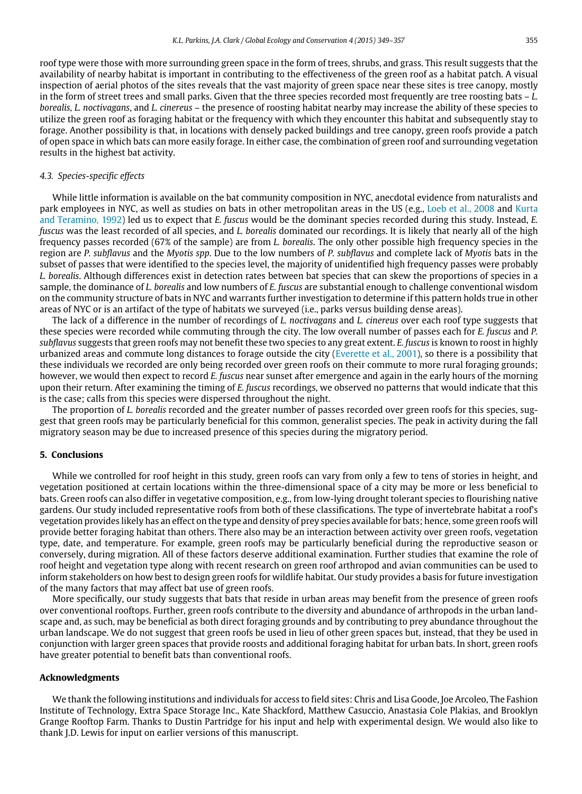roof type were those with more surrounding green space in the form of trees, shrubs, and grass. This result suggests that the availability of nearby habitat is important in contributing to the effectiveness of the green roof as a habitat patch. A visual inspection of aerial photos of the sites reveals that the vast majority of green space near these sites is tree canopy, mostly in the form of street trees and small parks. Given that the three species recorded most frequently are tree roosting bats – *L. borealis, L. noctivagans*, and *L. cinereus* – the presence of roosting habitat nearby may increase the ability of these species to utilize the green roof as foraging habitat or the frequency with which they encounter this habitat and subsequently stay to forage. Another possibility is that, in locations with densely packed buildings and tree canopy, green roofs provide a patch of open space in which bats can more easily forage. In either case, the combination of green roof and surrounding vegetation results in the highest bat activity.

#### *4.3. Species-specific effects*

While little information is available on the bat community composition in NYC, anecdotal evidence from naturalists and park employees in NYC, as well as studies on bats in other metropolitan areas in the US (e.g., [Loeb](#page-7-29) [et al.,](#page-7-29) [2008](#page-7-29) and [Kurta](#page-7-51) [and](#page-7-51) [Teramino,](#page-7-51) [1992\)](#page-7-51) led us to expect that *E. fuscus* would be the dominant species recorded during this study. Instead, *E. fuscus* was the least recorded of all species, and *L. borealis* dominated our recordings. It is likely that nearly all of the high frequency passes recorded (67% of the sample) are from *L. borealis*. The only other possible high frequency species in the region are *P. subflavus* and the *Myotis spp*. Due to the low numbers of *P. subflavus* and complete lack of *Myotis* bats in the subset of passes that were identified to the species level, the majority of unidentified high frequency passes were probably *L. borealis*. Although differences exist in detection rates between bat species that can skew the proportions of species in a sample, the dominance of *L. borealis* and low numbers of *E. fuscus* are substantial enough to challenge conventional wisdom on the community structure of bats in NYC and warrants further investigation to determine if this pattern holds true in other areas of NYC or is an artifact of the type of habitats we surveyed (i.e., parks versus building dense areas).

The lack of a difference in the number of recordings of *L. noctivagans* and *L. cinereus* over each roof type suggests that these species were recorded while commuting through the city. The low overall number of passes each for *E. fuscus* and *P. subflavus* suggests that green roofs may not benefit these two species to any great extent. *E. fuscus* is known to roost in highly urbanized areas and commute long distances to forage outside the city [\(Everette](#page-7-52) [et al.,](#page-7-52) [2001\)](#page-7-52), so there is a possibility that these individuals we recorded are only being recorded over green roofs on their commute to more rural foraging grounds; however, we would then expect to record *E. fuscus* near sunset after emergence and again in the early hours of the morning upon their return. After examining the timing of *E. fuscus* recordings, we observed no patterns that would indicate that this is the case; calls from this species were dispersed throughout the night.

The proportion of *L. borealis* recorded and the greater number of passes recorded over green roofs for this species, suggest that green roofs may be particularly beneficial for this common, generalist species. The peak in activity during the fall migratory season may be due to increased presence of this species during the migratory period.

#### **5. Conclusions**

While we controlled for roof height in this study, green roofs can vary from only a few to tens of stories in height, and vegetation positioned at certain locations within the three-dimensional space of a city may be more or less beneficial to bats. Green roofs can also differ in vegetative composition, e.g., from low-lying drought tolerant species to flourishing native gardens. Our study included representative roofs from both of these classifications. The type of invertebrate habitat a roof's vegetation provides likely has an effect on the type and density of prey species available for bats; hence, some green roofs will provide better foraging habitat than others. There also may be an interaction between activity over green roofs, vegetation type, date, and temperature. For example, green roofs may be particularly beneficial during the reproductive season or conversely, during migration. All of these factors deserve additional examination. Further studies that examine the role of roof height and vegetation type along with recent research on green roof arthropod and avian communities can be used to inform stakeholders on how best to design green roofs for wildlife habitat. Our study provides a basis for future investigation of the many factors that may affect bat use of green roofs.

More specifically, our study suggests that bats that reside in urban areas may benefit from the presence of green roofs over conventional rooftops. Further, green roofs contribute to the diversity and abundance of arthropods in the urban landscape and, as such, may be beneficial as both direct foraging grounds and by contributing to prey abundance throughout the urban landscape. We do not suggest that green roofs be used in lieu of other green spaces but, instead, that they be used in conjunction with larger green spaces that provide roosts and additional foraging habitat for urban bats. In short, green roofs have greater potential to benefit bats than conventional roofs.

## **Acknowledgments**

We thank the following institutions and individuals for access to field sites: Chris and Lisa Goode, Joe Arcoleo, The Fashion Institute of Technology, Extra Space Storage Inc., Kate Shackford, Matthew Casuccio, Anastasia Cole Plakias, and Brooklyn Grange Rooftop Farm. Thanks to Dustin Partridge for his input and help with experimental design. We would also like to thank J.D. Lewis for input on earlier versions of this manuscript.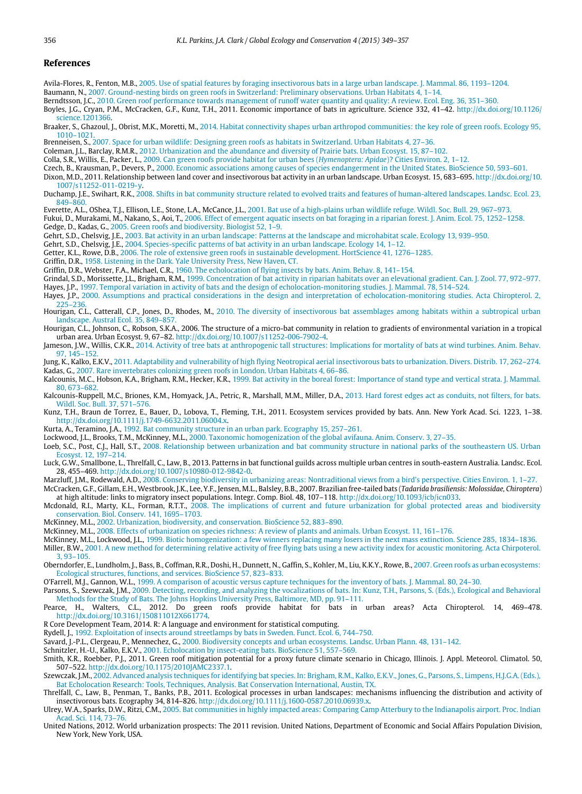#### **References**

<span id="page-7-20"></span><span id="page-7-16"></span>Avila-Flores, R., Fenton, M.B., [2005. Use of spatial features by foraging insectivorous bats in a large urban landscape. J. Mammal. 86, 1193–1204.](http://refhub.elsevier.com/S2351-9894(15)00084-0/sbref1) Baumann, N., [2007. Ground-nesting birds on green roofs in Switzerland: Preliminary observations. Urban Habitats 4, 1–14.](http://refhub.elsevier.com/S2351-9894(15)00084-0/sbref2)

<span id="page-7-9"></span>Berndtsson, J.C., [2010. Green roof performance towards management of runoff water quantity and quality: A review. Ecol. Eng. 36, 351–360.](http://refhub.elsevier.com/S2351-9894(15)00084-0/sbref3)

<span id="page-7-18"></span>Boyles, J.G., Cryan, P.M., McCracken, G.F., Kunz, T.H., 2011. Economic importance of bats in agriculture. Science 332, 41–42. [http://dx.doi.org/10.1126/](http://dx.doi.org/10.1126/science.1201366) [science.1201366.](http://dx.doi.org/10.1126/science.1201366)

<span id="page-7-12"></span>Braaker, S., Ghazoul, J., Obrist, M.K., Moretti, M., [2014. Habitat connectivity shapes urban arthropod communities: the key role of green roofs. Ecology 95,](http://refhub.elsevier.com/S2351-9894(15)00084-0/sbref5) 1010–1021.

<span id="page-7-13"></span>Brenneisen, S., [2007. Space for urban wildlife: Designing green roofs as habitats in Switzerland. Urban Habitats 4, 27–36.](http://refhub.elsevier.com/S2351-9894(15)00084-0/sbref6)

<span id="page-7-27"></span>Coleman, J.L., Barclay, R.M.R., [2012. Urbanization and the abundance and diversity of Prairie bats. Urban Ecosyst. 15, 87–102.](http://refhub.elsevier.com/S2351-9894(15)00084-0/sbref7)

<span id="page-7-14"></span>Colla, S.R., Willis, E., Packer, L., [2009. Can green roofs provide habitat for urban bees \(](http://refhub.elsevier.com/S2351-9894(15)00084-0/sbref8)*Hymenoptera: Apidae*)? Cities Environ. 2, 1–12.

<span id="page-7-0"></span>Czech, B., Krausman, P., Devers, P., [2000. Economic associations among causes of species endangerment in the United States. BioScience 50, 593–601.](http://refhub.elsevier.com/S2351-9894(15)00084-0/sbref9)

<span id="page-7-33"></span>Dixon, M.D., 2011. Relationship between land cover and insectivorous bat activity in an urban landscape. Urban Ecosyst. 15, 683–695. [http://dx.doi.org/10.](http://dx.doi.org/10.1007/s11252-011-0219-y) [1007/s11252-011-0219-y.](http://dx.doi.org/10.1007/s11252-011-0219-y)

<span id="page-7-28"></span>Duchamp, J.E., Swihart, R.K., [2008. Shifts in bat community structure related to evolved traits and features of human-altered landscapes. Landsc. Ecol. 23,](http://refhub.elsevier.com/S2351-9894(15)00084-0/sbref11) 849–860.

<span id="page-7-52"></span>Everette, A.L., OShea, T.J., Ellison, L.E., Stone, L.A., McCance, J.L., [2001. Bat use of a high-plains urban wildlife refuge. Wildl. Soc. Bull. 29, 967–973.](http://refhub.elsevier.com/S2351-9894(15)00084-0/sbref12)

<span id="page-7-41"></span><span id="page-7-17"></span>Fukui, D., Murakami, M., Nakano, S., Aoi, T., 2006. Effect of emergent aquatic insects on bat foraging in a riparian forest. J. Anim. Ecol. 75, 1252-1258. Gedge, D., Kadas, G., [2005. Green roofs and biodiversity. Biologist 52, 1–9.](http://refhub.elsevier.com/S2351-9894(15)00084-0/sbref14)

<span id="page-7-24"></span>Gehrt, S.D., Chelsvig, J.E., [2003. Bat activity in an urban landscape: Patterns at the landscape and microhabitat scale. Ecology 13, 939–950.](http://refhub.elsevier.com/S2351-9894(15)00084-0/sbref15)

<span id="page-7-23"></span>Gehrt, S.D., Chelsvig, J.E., [2004. Species-specific patterns of bat activity in an urban landscape. Ecology 14, 1–12.](http://refhub.elsevier.com/S2351-9894(15)00084-0/sbref16)

<span id="page-7-8"></span>Getter, K.L., Rowe, D.B., [2006. The role of extensive green roofs in sustainable development. HortScience 41, 1276–1285.](http://refhub.elsevier.com/S2351-9894(15)00084-0/sbref17)

<span id="page-7-39"></span>Griffin, D.R., [1958. Listening in the Dark. Yale University Press, New Haven, CT.](http://refhub.elsevier.com/S2351-9894(15)00084-0/sbref18)

<span id="page-7-40"></span>Griffin, D.R., Webster, F.A., Michael, C.R., [1960. The echolocation of flying insects by bats. Anim. Behav. 8, 141–154.](http://refhub.elsevier.com/S2351-9894(15)00084-0/sbref19)

<span id="page-7-42"></span><span id="page-7-35"></span>Grindal, S.D., Morissette, J.L., Brigham, R.M., [1999. Concentration of bat activity in riparian habitats over an elevational gradient. Can. J. Zool. 77, 972–977.](http://refhub.elsevier.com/S2351-9894(15)00084-0/sbref20) Hayes, J.P., [1997. Temporal variation in activity of bats and the design of echolocation-monitoring studies. J. Mammal. 78, 514–524.](http://refhub.elsevier.com/S2351-9894(15)00084-0/sbref21)

<span id="page-7-38"></span>Hayes, J.P., [2000. Assumptions and practical considerations in the design and interpretation of echolocation-monitoring studies. Acta Chiropterol. 2,](http://refhub.elsevier.com/S2351-9894(15)00084-0/sbref22)

<span id="page-7-21"></span>225–236. Hourigan, C.L., Catterall, C.P., Jones, D., Rhodes, M., [2010. The diversity of insectivorous bat assemblages among habitats within a subtropical urban](http://refhub.elsevier.com/S2351-9894(15)00084-0/sbref23)

landscape. Austral Ecol. 35, 849–857.

<span id="page-7-25"></span>Hourigan, C.L., Johnson, C., Robson, S.K.A., 2006. The structure of a micro-bat community in relation to gradients of environmental variation in a tropical urban area. Urban Ecosyst. 9, 67–82. [http://dx.doi.org/10.1007/s11252-006-7902-4.](http://dx.doi.org/10.1007/s11252-006-7902-4)

<span id="page-7-48"></span>Jameson, J.W., Willis, C.K.R., [2014. Activity of tree bats at anthropogenic tall structures: Implications for mortality of bats at wind turbines. Anim. Behav.](http://refhub.elsevier.com/S2351-9894(15)00084-0/sbref25) 97, 145–152.

<span id="page-7-26"></span><span id="page-7-15"></span>Jung, K., Kalko, E.K.V., [2011. Adaptability and vulnerability of high flying Neotropical aerial insectivorous bats to urbanization. Divers. Distrib. 17, 262–274.](http://refhub.elsevier.com/S2351-9894(15)00084-0/sbref26) Kadas, G., [2007. Rare invertebrates colonizing green roofs in London. Urban Habitats 4, 66–86.](http://refhub.elsevier.com/S2351-9894(15)00084-0/sbref27)

<span id="page-7-37"></span>Kalcounis, M.C., Hobson, K.A., Brigham, R.M., Hecker, K.R., [1999. Bat activity in the boreal forest: Importance of stand type and vertical strata. J. Mammal.](http://refhub.elsevier.com/S2351-9894(15)00084-0/sbref28) 80, 673–682.

<span id="page-7-47"></span>Kalcou[nis-Ruppell, M.C., Briones, K.M., Homyack, J.A., Petric, R., Marshall, M.M., Miller, D.A.,](http://refhub.elsevier.com/S2351-9894(15)00084-0/sbref29) 2013. Hard forest edges act as conduits, not filters, for bats. Wildl. Soc. Bull. 37, 571–576.

<span id="page-7-19"></span>Kunz, T.H., Braun de Torrez, E., Bauer, D., Lobova, T., Fleming, T.H., 2011. Ecosystem services provided by bats. Ann. New York Acad. Sci. 1223, 1–38. [http://dx.doi.org/10.1111/j.1749-6632.2011.06004.x.](http://dx.doi.org/10.1111/j.1749-6632.2011.06004.x)

<span id="page-7-51"></span>Kurta, A., Teramino, J.A., [1992. Bat community structure in an urban park. Ecography 15, 257–261.](http://refhub.elsevier.com/S2351-9894(15)00084-0/sbref31)

<span id="page-7-2"></span>Lockwood, J.L., Brooks, T.M., McKinney, M.L., [2000. Taxonomic homogenization of the global avifauna. Anim. Conserv. 3, 27–35.](http://refhub.elsevier.com/S2351-9894(15)00084-0/sbref32)

<span id="page-7-29"></span>Loeb, S.C., Post, C.J., Hall, S.T., [2008. Relationship between urbanization and bat community structure in national parks of the southeastern US. Urban](http://refhub.elsevier.com/S2351-9894(15)00084-0/sbref33) Ecosyst. 12, 197–214.

<span id="page-7-30"></span>Luck, G.W., Smallbone, L., Threlfall, C., Law, B., 2013. Patterns in bat functional guilds across multiple urban centres in south-eastern Australia. Landsc. Ecol. 28, 455–469. [http://dx.doi.org/10.1007/s10980-012-9842-0.](http://dx.doi.org/10.1007/s10980-012-9842-0)

<span id="page-7-43"></span><span id="page-7-6"></span>Marzluff, J.M., Rodewald, A.D., [2008. Conserving biodiversity in urbanizing areas: Nontraditional views from a bird's perspective. Cities Environ. 1, 1–27.](http://refhub.elsevier.com/S2351-9894(15)00084-0/sbref35) McCracken, G.F., Gillam, E.H., Westbrook, J.K., Lee, Y.F., Jensen, M.L., Balsley, B.B., 2007. Brazilian free-tailed bats (*Tadarida brasiliensis: Molossidae, Chiroptera*)

at high altitude: links to migratory insect populations. Integr. Comp. Biol. 48, 107–118. [http://dx.doi.org/10.1093/icb/icn033.](http://dx.doi.org/10.1093/icb/icn033)

<span id="page-7-5"></span>Mcdonald, R.I., Marty, K.L., Forman, R.T.T., [2008. The implications of current and future urbanization for global protected areas and biodiversity](http://refhub.elsevier.com/S2351-9894(15)00084-0/sbref37)

conservation. Biol. Conserv. 141, 1695–1703. McKinney, M.L., [2002. Urbanization, biodiversity, and conservation. BioScience 52, 883–890.](http://refhub.elsevier.com/S2351-9894(15)00084-0/sbref38)

<span id="page-7-1"></span>McKinney, M.L., [2008. Effects of urbanization on species richness: A review of plants and animals. Urban Ecosyst. 11, 161–176.](http://refhub.elsevier.com/S2351-9894(15)00084-0/sbref39)

<span id="page-7-3"></span>McKinney, M.L., Lockwood, J.L., [1999. Biotic homogenization: a few winners replacing many losers in the next mass extinction. Science 285, 1834–1836.](http://refhub.elsevier.com/S2351-9894(15)00084-0/sbref40)

<span id="page-7-46"></span>Miller, B.W., [2001. A new method for determining relative activity of free flying bats using a new activity index for acoustic monitoring. Acta Chirpoterol.](http://refhub.elsevier.com/S2351-9894(15)00084-0/sbref41) 3, 93–105.

<span id="page-7-11"></span>Obernd[orfer, E., Lundholm, J., Bass, B., Coffman, R.R., Doshi, H., Dunnett, N., Gaffin, S., Kohler, M., Liu, K.K.Y., Rowe, B.,](http://refhub.elsevier.com/S2351-9894(15)00084-0/sbref42) 2007. Green roofs as urban ecosystems: Ecological structures, functions, and services. BioScience 57, 823–833.

<span id="page-7-49"></span>O'Farrell, M.J., Gannon, W.L., [1999. A comparison of acoustic versus capture techniques for the inventory of bats. J. Mammal. 80, 24–30.](http://refhub.elsevier.com/S2351-9894(15)00084-0/sbref43)

<span id="page-7-36"></span>Parsons, S., Szewczak, J.M., [2009. Detecting, recording, and analyzing the vocalizations of bats. In: Kunz, T.H., Parsons, S. \(Eds.\), Ecological and Behavioral](http://refhub.elsevier.com/S2351-9894(15)00084-0/sbref44)

<span id="page-7-34"></span>Methods for the Study of Bats. The Johns Hopkins University Press, Baltimore, MD, pp. 91–111. Pearce, H., Walters, C.L., 2012. Do green roofs provide habitat for bats in urban areas? Acta Chiropterol. 14, 469–478. [http://dx.doi.org/10.3161/150811012X661774.](http://dx.doi.org/10.3161/150811012X661774)

<span id="page-7-50"></span>R Core Development Team, 2014. R: A language and environment for statistical computing.

<span id="page-7-22"></span>Rydell, J., [1992. Exploitation of insects around streetlamps by bats in Sweden. Funct. Ecol. 6, 744–750.](http://refhub.elsevier.com/S2351-9894(15)00084-0/sbref47)

<span id="page-7-7"></span>Savard, J.-P.L., Clergeau, P., Mennechez, G., [2000. Biodiversity concepts and urban ecosystems. Landsc. Urban Plann. 48, 131–142.](http://refhub.elsevier.com/S2351-9894(15)00084-0/sbref48)

<span id="page-7-44"></span>Schnitzler, H.-U., Kalko, E.K.V., [2001. Echolocation by insect-eating bats. BioScience 51, 557–569.](http://refhub.elsevier.com/S2351-9894(15)00084-0/sbref49)

<span id="page-7-10"></span>Smith, K.R., Roebber, P.J., 2011. Green roof mitigation potential for a proxy future climate scenario in Chicago, Illinois. J. Appl. Meteorol. Climatol. 50, 507–522. [http://dx.doi.org/10.1175/2010JAMC2337.1.](http://dx.doi.org/10.1175/2010JAMC2337.1)

<span id="page-7-45"></span>Szewczak, J.M., [2002. Advanced analysis techniques for identifying bat species. In: Brigham, R.M., Kalko, E.K.V., Jones, G., Parsons, S., Limpens, H.J.G.A. \(Eds.\),](http://refhub.elsevier.com/S2351-9894(15)00084-0/sbref51) Bat Echolocation Research: Tools, Techniques, Analysis. Bat Conservation International, Austin, TX.<br>Threlfall, C., Law, B., Penman, T., Banks, P.B., 2011. Ecological processes in urban landscapes: mechanisms influencing th

<span id="page-7-31"></span>insectivorous bats. Ecography 34, 814–826. [http://dx.doi.org/10.1111/j.1600-0587.2010.06939.x.](http://dx.doi.org/10.1111/j.1600-0587.2010.06939.x)

<span id="page-7-32"></span>Ulrey, W.A., Sparks, D.W., Ritzi, C.M., [2005. Bat communities in highly impacted areas: Comparing Camp Atterbury to the Indianapolis airport. Proc. Indian](http://refhub.elsevier.com/S2351-9894(15)00084-0/sbref53) Acad. Sci. 114, 73–76.

<span id="page-7-4"></span>United Nations, 2012. World urbanization prospects: The 2011 revision. United Nations, Department of Economic and Social Affairs Population Division, New York, New York, USA.